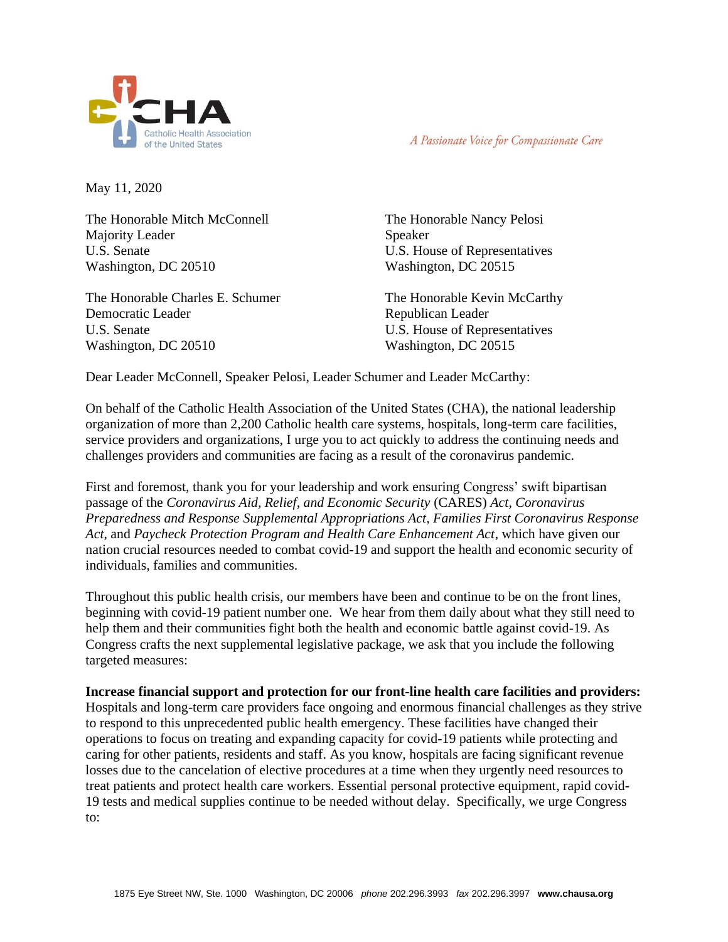

A Passionate Voice for Compassionate Care

May 11, 2020

The Honorable Mitch McConnell Majority Leader U.S. Senate Washington, DC 20510

The Honorable Charles E. Schumer Democratic Leader U.S. Senate Washington, DC 20510

The Honorable Nancy Pelosi Speaker U.S. House of Representatives Washington, DC 20515

The Honorable Kevin McCarthy Republican Leader U.S. House of Representatives Washington, DC 20515

Dear Leader McConnell, Speaker Pelosi, Leader Schumer and Leader McCarthy:

On behalf of the Catholic Health Association of the United States (CHA), the national leadership organization of more than 2,200 Catholic health care systems, hospitals, long-term care facilities, service providers and organizations, I urge you to act quickly to address the continuing needs and challenges providers and communities are facing as a result of the coronavirus pandemic.

First and foremost, thank you for your leadership and work ensuring Congress' swift bipartisan passage of the *Coronavirus Aid, Relief, and Economic Security* (CARES) *Act*, *Coronavirus Preparedness and Response Supplemental Appropriations Act, Families First Coronavirus Response Act,* and *Paycheck Protection Program and Health Care Enhancement Act*, which have given our nation crucial resources needed to combat covid-19 and support the health and economic security of individuals, families and communities.

Throughout this public health crisis, our members have been and continue to be on the front lines, beginning with covid-19 patient number one. We hear from them daily about what they still need to help them and their communities fight both the health and economic battle against covid-19. As Congress crafts the next supplemental legislative package, we ask that you include the following targeted measures:

**Increase financial support and protection for our front-line health care facilities and providers:** Hospitals and long-term care providers face ongoing and enormous financial challenges as they strive to respond to this unprecedented public health emergency. These facilities have changed their operations to focus on treating and expanding capacity for covid-19 patients while protecting and caring for other patients, residents and staff. As you know, hospitals are facing significant revenue losses due to the cancelation of elective procedures at a time when they urgently need resources to treat patients and protect health care workers. Essential personal protective equipment, rapid covid-19 tests and medical supplies continue to be needed without delay. Specifically, we urge Congress to: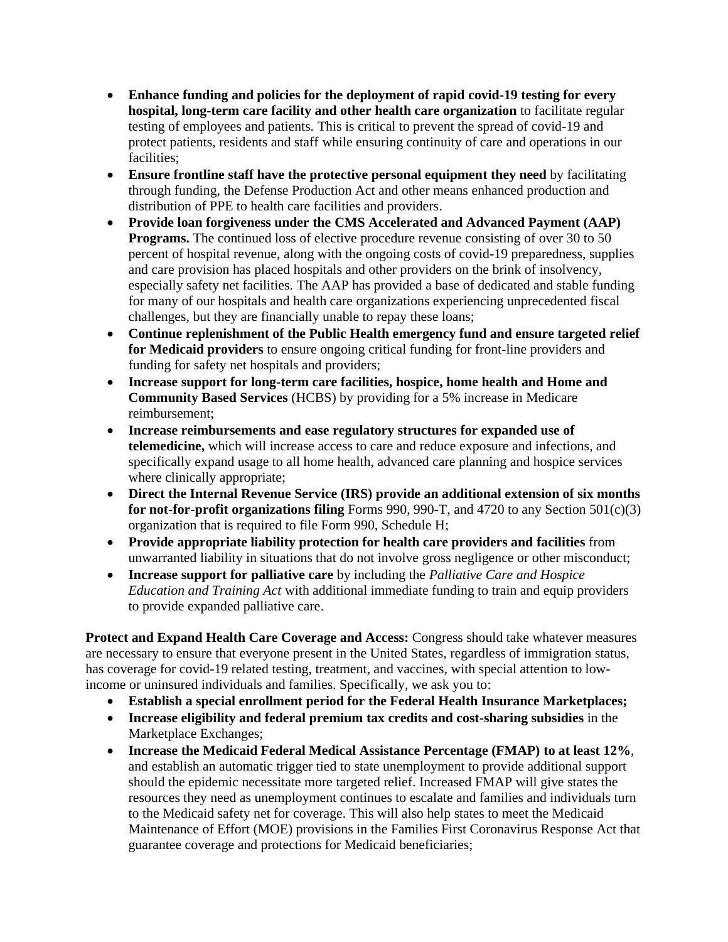- **Enhance funding and policies for the deployment of rapid covid-19 testing for every hospital, long-term care facility and other health care organization** to facilitate regular testing of employees and patients. This is critical to prevent the spread of covid-19 and protect patients, residents and staff while ensuring continuity of care and operations in our facilities;
- **Ensure frontline staff have the protective personal equipment they need** by facilitating through funding, the Defense Production Act and other means enhanced production and distribution of PPE to health care facilities and providers.
- **Provide loan forgiveness under the CMS Accelerated and Advanced Payment (AAP) Programs.** The continued loss of elective procedure revenue consisting of over 30 to 50 percent of hospital revenue, along with the ongoing costs of covid-19 preparedness, supplies and care provision has placed hospitals and other providers on the brink of insolvency, especially safety net facilities. The AAP has provided a base of dedicated and stable funding for many of our hospitals and health care organizations experiencing unprecedented fiscal challenges, but they are financially unable to repay these loans;
- **Continue replenishment of the Public Health emergency fund and ensure targeted relief for Medicaid providers** to ensure ongoing critical funding for front-line providers and funding for safety net hospitals and providers;
- **Increase support for long-term care facilities, hospice, home health and Home and Community Based Services** (HCBS) by providing for a 5% increase in Medicare reimbursement;
- **Increase reimbursements and ease regulatory structures for expanded use of telemedicine,** which will increase access to care and reduce exposure and infections, and specifically expand usage to all home health, advanced care planning and hospice services where clinically appropriate;
- **Direct the Internal Revenue Service (IRS) provide an additional extension of six months for not-for-profit organizations filing** Forms 990, 990-T, and 4720 to any Section 501(c)(3) organization that is required to file Form 990, Schedule H;
- **Provide appropriate liability protection for health care providers and facilities** from unwarranted liability in situations that do not involve gross negligence or other misconduct;
- **Increase support for palliative care** by including the *Palliative Care and Hospice Education and Training Act* with additional immediate funding to train and equip providers to provide expanded palliative care.

**Protect and Expand Health Care Coverage and Access:** Congress should take whatever measures are necessary to ensure that everyone present in the United States, regardless of immigration status, has coverage for covid-19 related testing, treatment, and vaccines, with special attention to lowincome or uninsured individuals and families. Specifically, we ask you to:

- **Establish a special enrollment period for the Federal Health Insurance Marketplaces;**
- **Increase eligibility and federal premium tax credits and cost-sharing subsidies** in the Marketplace Exchanges;
- **Increase the Medicaid Federal Medical Assistance Percentage (FMAP) to at least 12%**, and establish an automatic trigger tied to state unemployment to provide additional support should the epidemic necessitate more targeted relief. Increased FMAP will give states the resources they need as unemployment continues to escalate and families and individuals turn to the Medicaid safety net for coverage. This will also help states to meet the Medicaid Maintenance of Effort (MOE) provisions in the Families First Coronavirus Response Act that guarantee coverage and protections for Medicaid beneficiaries;